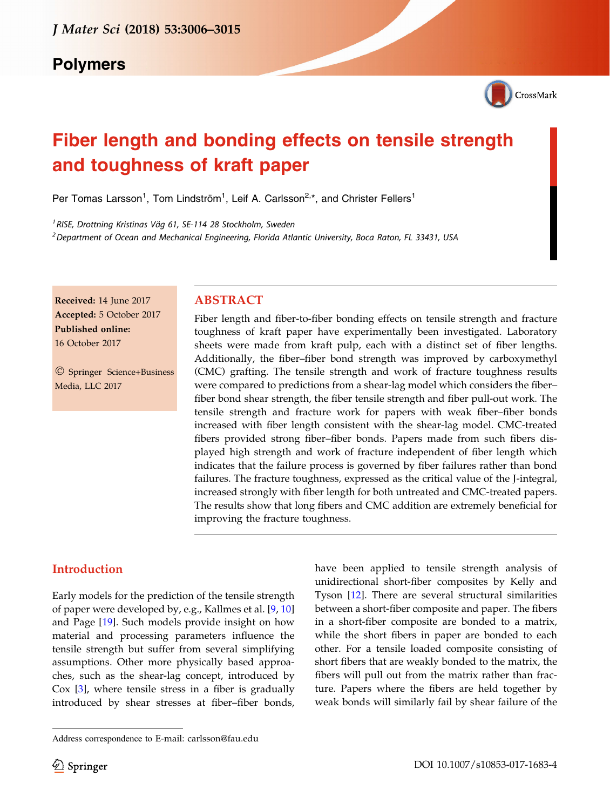# **Polymers**



# Fiber length and bonding effects on tensile strength and toughness of kraft paper

Per Tomas Larsson<sup>1</sup>, Tom Lindström<sup>1</sup>, Leif A. Carlsson<sup>2,\*</sup>, and Christer Fellers<sup>1</sup>

<sup>1</sup> RISE, Drottning Kristinas Väg 61, SE-114 28 Stockholm, Sweden

 $^2$ Department of Ocean and Mechanical Engineering, Florida Atlantic University, Boca Raton, FL 33431, USA

Received: 14 June 2017 Accepted: 5 October 2017 Published online: 16 October 2017

- Springer Science+Business Media, LLC 2017

# ABSTRACT

Fiber length and fiber-to-fiber bonding effects on tensile strength and fracture toughness of kraft paper have experimentally been investigated. Laboratory sheets were made from kraft pulp, each with a distinct set of fiber lengths. Additionally, the fiber–fiber bond strength was improved by carboxymethyl (CMC) grafting. The tensile strength and work of fracture toughness results were compared to predictions from a shear-lag model which considers the fiber– fiber bond shear strength, the fiber tensile strength and fiber pull-out work. The tensile strength and fracture work for papers with weak fiber–fiber bonds increased with fiber length consistent with the shear-lag model. CMC-treated fibers provided strong fiber–fiber bonds. Papers made from such fibers displayed high strength and work of fracture independent of fiber length which indicates that the failure process is governed by fiber failures rather than bond failures. The fracture toughness, expressed as the critical value of the J-integral, increased strongly with fiber length for both untreated and CMC-treated papers. The results show that long fibers and CMC addition are extremely beneficial for improving the fracture toughness.

# Introduction

Early models for the prediction of the tensile strength of paper were developed by, e.g., Kallmes et al. [[9,](#page-8-0) [10](#page-8-0)] and Page [[19\]](#page-9-0). Such models provide insight on how material and processing parameters influence the tensile strength but suffer from several simplifying assumptions. Other more physically based approaches, such as the shear-lag concept, introduced by Cox [\[3](#page-8-0)], where tensile stress in a fiber is gradually introduced by shear stresses at fiber–fiber bonds, have been applied to tensile strength analysis of unidirectional short-fiber composites by Kelly and Tyson [[12\]](#page-8-0). There are several structural similarities between a short-fiber composite and paper. The fibers in a short-fiber composite are bonded to a matrix, while the short fibers in paper are bonded to each other. For a tensile loaded composite consisting of short fibers that are weakly bonded to the matrix, the fibers will pull out from the matrix rather than fracture. Papers where the fibers are held together by weak bonds will similarly fail by shear failure of the

Address correspondence to E-mail: carlsson@fau.edu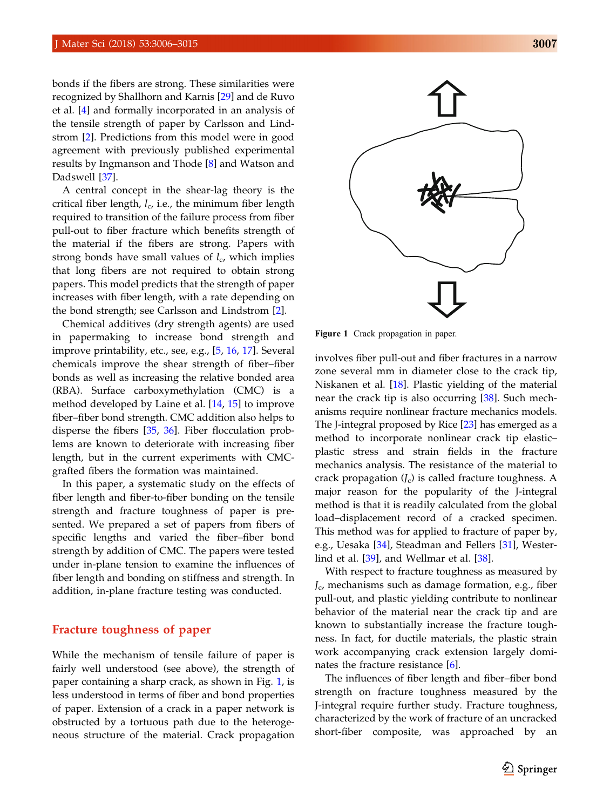bonds if the fibers are strong. These similarities were recognized by Shallhorn and Karnis [\[29](#page-9-0)] and de Ruvo et al. [[4\]](#page-8-0) and formally incorporated in an analysis of the tensile strength of paper by Carlsson and Lindstrom [[2\]](#page-8-0). Predictions from this model were in good agreement with previously published experimental results by Ingmanson and Thode [[8\]](#page-8-0) and Watson and Dadswell [[37\]](#page-9-0).

A central concept in the shear-lag theory is the critical fiber length,  $l_c$ , i.e., the minimum fiber length required to transition of the failure process from fiber pull-out to fiber fracture which benefits strength of the material if the fibers are strong. Papers with strong bonds have small values of  $l_c$ , which implies that long fibers are not required to obtain strong papers. This model predicts that the strength of paper increases with fiber length, with a rate depending on the bond strength; see Carlsson and Lindstrom [[2\]](#page-8-0).

Chemical additives (dry strength agents) are used in papermaking to increase bond strength and improve printability, etc., see, e.g., [[5,](#page-8-0) [16](#page-9-0), [17\]](#page-9-0). Several chemicals improve the shear strength of fiber–fiber bonds as well as increasing the relative bonded area (RBA). Surface carboxymethylation (CMC) is a method developed by Laine et al. [[14,](#page-9-0) [15](#page-9-0)] to improve fiber–fiber bond strength. CMC addition also helps to disperse the fibers [\[35](#page-9-0), [36](#page-9-0)]. Fiber flocculation problems are known to deteriorate with increasing fiber length, but in the current experiments with CMCgrafted fibers the formation was maintained.

In this paper, a systematic study on the effects of fiber length and fiber-to-fiber bonding on the tensile strength and fracture toughness of paper is presented. We prepared a set of papers from fibers of specific lengths and varied the fiber–fiber bond strength by addition of CMC. The papers were tested under in-plane tension to examine the influences of fiber length and bonding on stiffness and strength. In addition, in-plane fracture testing was conducted.

### Fracture toughness of paper

While the mechanism of tensile failure of paper is fairly well understood (see above), the strength of paper containing a sharp crack, as shown in Fig. 1, is less understood in terms of fiber and bond properties of paper. Extension of a crack in a paper network is obstructed by a tortuous path due to the heterogeneous structure of the material. Crack propagation



Figure 1 Crack propagation in paper.

involves fiber pull-out and fiber fractures in a narrow zone several mm in diameter close to the crack tip, Niskanen et al. [[18\]](#page-9-0). Plastic yielding of the material near the crack tip is also occurring [\[38](#page-9-0)]. Such mechanisms require nonlinear fracture mechanics models. The J-integral proposed by Rice [[23\]](#page-9-0) has emerged as a method to incorporate nonlinear crack tip elastic– plastic stress and strain fields in the fracture mechanics analysis. The resistance of the material to crack propagation  $(J_c)$  is called fracture toughness. A major reason for the popularity of the J-integral method is that it is readily calculated from the global load–displacement record of a cracked specimen. This method was for applied to fracture of paper by, e.g., Uesaka [[34\]](#page-9-0), Steadman and Fellers [[31\]](#page-9-0), Westerlind et al. [\[39](#page-9-0)], and Wellmar et al. [\[38](#page-9-0)].

With respect to fracture toughness as measured by  $J_{\rm c}$ , mechanisms such as damage formation, e.g., fiber pull-out, and plastic yielding contribute to nonlinear behavior of the material near the crack tip and are known to substantially increase the fracture toughness. In fact, for ductile materials, the plastic strain work accompanying crack extension largely dominates the fracture resistance [\[6](#page-8-0)].

The influences of fiber length and fiber–fiber bond strength on fracture toughness measured by the J-integral require further study. Fracture toughness, characterized by the work of fracture of an uncracked short-fiber composite, was approached by an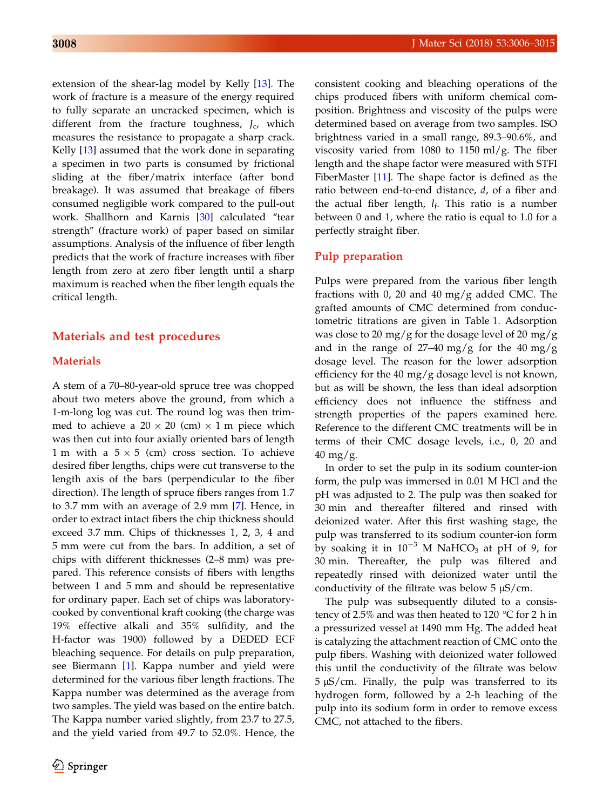extension of the shear-lag model by Kelly [\[13](#page-8-0)]. The work of fracture is a measure of the energy required to fully separate an uncracked specimen, which is different from the fracture toughness,  $J_{\rm cr}$  which measures the resistance to propagate a sharp crack. Kelly [[13\]](#page-8-0) assumed that the work done in separating a specimen in two parts is consumed by frictional sliding at the fiber/matrix interface (after bond breakage). It was assumed that breakage of fibers consumed negligible work compared to the pull-out work. Shallhorn and Karnis [\[30](#page-9-0)] calculated "tear strength'' (fracture work) of paper based on similar assumptions. Analysis of the influence of fiber length predicts that the work of fracture increases with fiber length from zero at zero fiber length until a sharp maximum is reached when the fiber length equals the critical length.

### Materials and test procedures

#### Materials

A stem of a 70–80-year-old spruce tree was chopped about two meters above the ground, from which a 1-m-long log was cut. The round log was then trimmed to achieve a  $20 \times 20$  (cm)  $\times$  1 m piece which was then cut into four axially oriented bars of length 1 m with a  $5 \times 5$  (cm) cross section. To achieve desired fiber lengths, chips were cut transverse to the length axis of the bars (perpendicular to the fiber direction). The length of spruce fibers ranges from 1.7 to 3.7 mm with an average of 2.9 mm [\[7](#page-8-0)]. Hence, in order to extract intact fibers the chip thickness should exceed 3.7 mm. Chips of thicknesses 1, 2, 3, 4 and 5 mm were cut from the bars. In addition, a set of chips with different thicknesses (2–8 mm) was prepared. This reference consists of fibers with lengths between 1 and 5 mm and should be representative for ordinary paper. Each set of chips was laboratorycooked by conventional kraft cooking (the charge was 19% effective alkali and 35% sulfidity, and the H-factor was 1900) followed by a DEDED ECF bleaching sequence. For details on pulp preparation, see Biermann [[1\]](#page-8-0). Kappa number and yield were determined for the various fiber length fractions. The Kappa number was determined as the average from two samples. The yield was based on the entire batch. The Kappa number varied slightly, from 23.7 to 27.5, and the yield varied from 49.7 to 52.0%. Hence, the

consistent cooking and bleaching operations of the chips produced fibers with uniform chemical composition. Brightness and viscosity of the pulps were determined based on average from two samples. ISO brightness varied in a small range, 89.3–90.6%, and viscosity varied from 1080 to 1150 ml/g. The fiber length and the shape factor were measured with STFI FiberMaster [\[11](#page-8-0)]. The shape factor is defined as the ratio between end-to-end distance, d, of a fiber and the actual fiber length,  $l_f$ . This ratio is a number between 0 and 1, where the ratio is equal to 1.0 for a perfectly straight fiber.

### Pulp preparation

Pulps were prepared from the various fiber length fractions with 0, 20 and 40 mg/g added CMC. The grafted amounts of CMC determined from conductometric titrations are given in Table [1](#page-3-0). Adsorption was close to 20 mg/g for the dosage level of 20 mg/g and in the range of 27–40 mg/g for the 40 mg/g dosage level. The reason for the lower adsorption efficiency for the 40 mg/g dosage level is not known, but as will be shown, the less than ideal adsorption efficiency does not influence the stiffness and strength properties of the papers examined here. Reference to the different CMC treatments will be in terms of their CMC dosage levels, i.e., 0, 20 and  $40 \frac{\text{mg}}{\text{g}}$ .

In order to set the pulp in its sodium counter-ion form, the pulp was immersed in 0.01 M HCl and the pH was adjusted to 2. The pulp was then soaked for 30 min and thereafter filtered and rinsed with deionized water. After this first washing stage, the pulp was transferred to its sodium counter-ion form by soaking it in  $10^{-3}$  M NaHCO<sub>3</sub> at pH of 9, for 30 min. Thereafter, the pulp was filtered and repeatedly rinsed with deionized water until the conductivity of the filtrate was below  $5 \mu S/cm$ .

The pulp was subsequently diluted to a consistency of 2.5% and was then heated to 120  $\degree$ C for 2 h in a pressurized vessel at 1490 mm Hg. The added heat is catalyzing the attachment reaction of CMC onto the pulp fibers. Washing with deionized water followed this until the conductivity of the filtrate was below  $5 \mu$ S/cm. Finally, the pulp was transferred to its hydrogen form, followed by a 2-h leaching of the pulp into its sodium form in order to remove excess CMC, not attached to the fibers.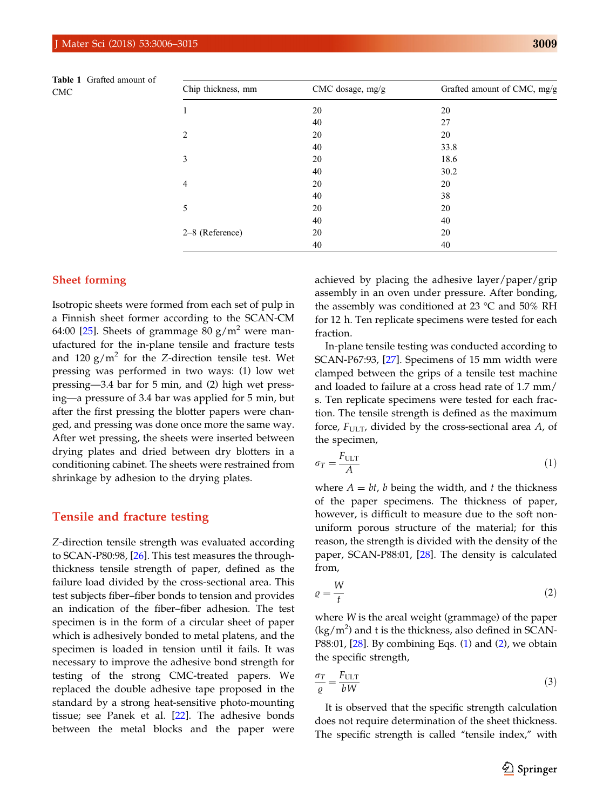| <b>Table 1</b> Grafted amount of<br>CMC | Chip thickness, mm | CMC dosage, mg/g | Grafted amount of CMC, mg/g |
|-----------------------------------------|--------------------|------------------|-----------------------------|
|                                         |                    | 20               | 20                          |
|                                         |                    | 40               | 27                          |
|                                         | 2                  | 20               | 20                          |
|                                         |                    | 40               | 33.8                        |
|                                         | 3                  | 20               | 18.6                        |
|                                         |                    | 40               | 30.2                        |
|                                         | 4                  | 20               | 20                          |
|                                         |                    | 40               | 38                          |
|                                         | 5                  | 20               | 20                          |
|                                         |                    | 40               | 40                          |
|                                         | 2–8 (Reference)    | 20               | 20                          |
|                                         |                    | 40               | 40                          |

# <span id="page-3-0"></span>Table 1 Grafted amount of

### Sheet forming

Isotropic sheets were formed from each set of pulp in a Finnish sheet former according to the SCAN-CM 64:00 [[25\]](#page-9-0). Sheets of grammage 80  $g/m^2$  were manufactured for the in-plane tensile and fracture tests and 120  $g/m^2$  for the Z-direction tensile test. Wet pressing was performed in two ways: (1) low wet pressing—3.4 bar for 5 min, and (2) high wet pressing—a pressure of 3.4 bar was applied for 5 min, but after the first pressing the blotter papers were changed, and pressing was done once more the same way. After wet pressing, the sheets were inserted between drying plates and dried between dry blotters in a conditioning cabinet. The sheets were restrained from shrinkage by adhesion to the drying plates.

### Tensile and fracture testing

Z-direction tensile strength was evaluated according to SCAN-P80:98, [\[26](#page-9-0)]. This test measures the throughthickness tensile strength of paper, defined as the failure load divided by the cross-sectional area. This test subjects fiber–fiber bonds to tension and provides an indication of the fiber–fiber adhesion. The test specimen is in the form of a circular sheet of paper which is adhesively bonded to metal platens, and the specimen is loaded in tension until it fails. It was necessary to improve the adhesive bond strength for testing of the strong CMC-treated papers. We replaced the double adhesive tape proposed in the standard by a strong heat-sensitive photo-mounting tissue; see Panek et al. [\[22](#page-9-0)]. The adhesive bonds between the metal blocks and the paper were achieved by placing the adhesive layer/paper/grip assembly in an oven under pressure. After bonding, the assembly was conditioned at 23  $^{\circ}$ C and 50% RH for 12 h. Ten replicate specimens were tested for each fraction.

In-plane tensile testing was conducted according to SCAN-P67:93, [[27\]](#page-9-0). Specimens of 15 mm width were clamped between the grips of a tensile test machine and loaded to failure at a cross head rate of 1.7 mm/ s. Ten replicate specimens were tested for each fraction. The tensile strength is defined as the maximum force,  $F_{\text{ULT}}$ , divided by the cross-sectional area A, of the specimen,

$$
\sigma_T = \frac{F_{\text{ULT}}}{A} \tag{1}
$$

where  $A = bt$ , b being the width, and t the thickness of the paper specimens. The thickness of paper, however, is difficult to measure due to the soft nonuniform porous structure of the material; for this reason, the strength is divided with the density of the paper, SCAN-P88:01, [\[28](#page-9-0)]. The density is calculated from,

$$
\varrho = \frac{W}{t} \tag{2}
$$

where W is the areal weight (grammage) of the paper  $(kg/m<sup>2</sup>)$  and t is the thickness, also defined in SCAN-P88:01,  $[28]$  $[28]$ . By combining Eqs.  $(1)$  and  $(2)$ , we obtain the specific strength,

$$
\frac{\sigma_T}{\varrho} = \frac{F_{\text{ULT}}}{bW} \tag{3}
$$

It is observed that the specific strength calculation does not require determination of the sheet thickness. The specific strength is called "tensile index," with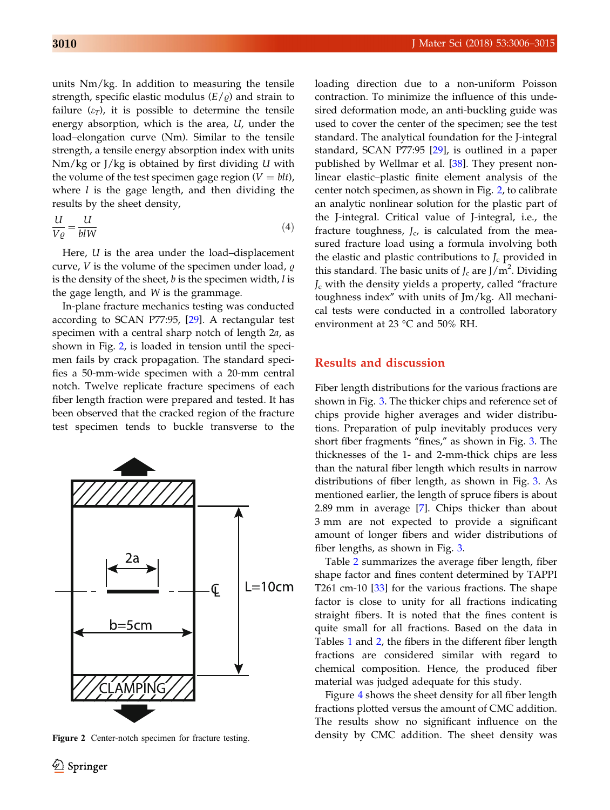units Nm/kg. In addition to measuring the tensile strength, specific elastic modulus  $(E/\varrho)$  and strain to failure  $(\varepsilon_T)$ , it is possible to determine the tensile energy absorption, which is the area, U, under the load–elongation curve (Nm). Similar to the tensile strength, a tensile energy absorption index with units Nm/kg or J/kg is obtained by first dividing U with the volume of the test specimen gage region  $(V = blt)$ , where  $l$  is the gage length, and then dividing the results by the sheet density,

$$
\frac{U}{V\varrho} = \frac{U}{blW} \tag{4}
$$

Here, U is the area under the load–displacement curve, V is the volume of the specimen under load,  $\rho$ is the density of the sheet,  $b$  is the specimen width,  $l$  is the gage length, and W is the grammage.

In-plane fracture mechanics testing was conducted according to SCAN P77:95, [\[29](#page-9-0)]. A rectangular test specimen with a central sharp notch of length 2a, as shown in Fig. 2, is loaded in tension until the specimen fails by crack propagation. The standard specifies a 50-mm-wide specimen with a 20-mm central notch. Twelve replicate fracture specimens of each fiber length fraction were prepared and tested. It has been observed that the cracked region of the fracture test specimen tends to buckle transverse to the



loading direction due to a non-uniform Poisson contraction. To minimize the influence of this undesired deformation mode, an anti-buckling guide was used to cover the center of the specimen; see the test standard. The analytical foundation for the J-integral standard, SCAN P77:95 [[29\]](#page-9-0), is outlined in a paper published by Wellmar et al. [[38\]](#page-9-0). They present nonlinear elastic–plastic finite element analysis of the center notch specimen, as shown in Fig. 2, to calibrate an analytic nonlinear solution for the plastic part of the J-integral. Critical value of J-integral, i.e., the fracture toughness,  $J_{\rm c}$  is calculated from the measured fracture load using a formula involving both the elastic and plastic contributions to  $J_c$  provided in this standard. The basic units of  $J_c$  are  $J/m^2$ . Dividing J<sup>c</sup> with the density yields a property, called ''fracture toughness index'' with units of Jm/kg. All mechanical tests were conducted in a controlled laboratory environment at 23  $^{\circ}$ C and 50% RH.

# Results and discussion

Fiber length distributions for the various fractions are shown in Fig. [3](#page-5-0). The thicker chips and reference set of chips provide higher averages and wider distributions. Preparation of pulp inevitably produces very short fiber fragments "fines," as shown in Fig. [3.](#page-5-0) The thicknesses of the 1- and 2-mm-thick chips are less than the natural fiber length which results in narrow distributions of fiber length, as shown in Fig. [3](#page-5-0). As mentioned earlier, the length of spruce fibers is about 2.89 mm in average [\[7](#page-8-0)]. Chips thicker than about 3 mm are not expected to provide a significant amount of longer fibers and wider distributions of fiber lengths, as shown in Fig. [3.](#page-5-0)

Table [2](#page-5-0) summarizes the average fiber length, fiber shape factor and fines content determined by TAPPI T261 cm-10 [[33\]](#page-9-0) for the various fractions. The shape factor is close to unity for all fractions indicating straight fibers. It is noted that the fines content is quite small for all fractions. Based on the data in Tables [1](#page-3-0) and [2,](#page-5-0) the fibers in the different fiber length fractions are considered similar with regard to chemical composition. Hence, the produced fiber material was judged adequate for this study.

Figure [4](#page-5-0) shows the sheet density for all fiber length fractions plotted versus the amount of CMC addition. The results show no significant influence on the Figure 2 Center-notch specimen for fracture testing. density by CMC addition. The sheet density was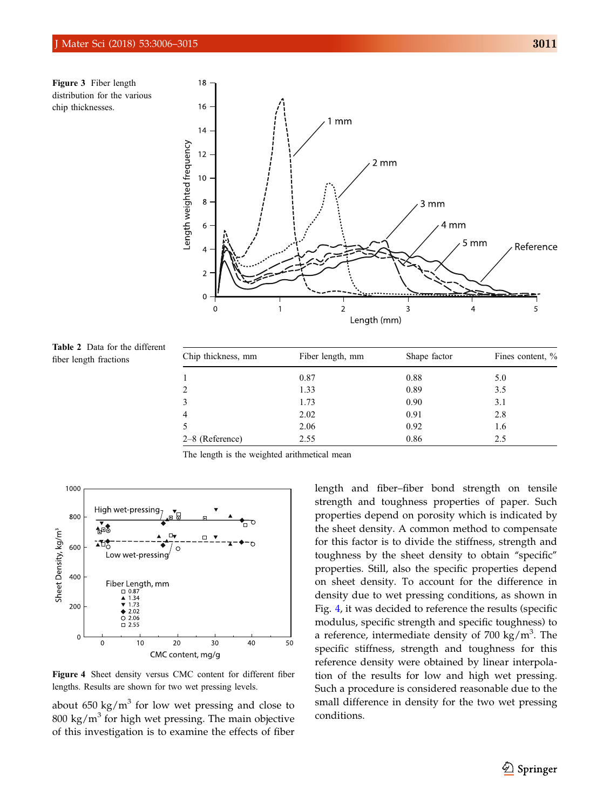<span id="page-5-0"></span>



Table 2 Data for the different

| <b>Table 2</b> Data for the different |                    |                  |              |                  |  |
|---------------------------------------|--------------------|------------------|--------------|------------------|--|
| fiber length fractions                | Chip thickness, mm | Fiber length, mm | Shape factor | Fines content, % |  |
|                                       |                    | 0.87             | 0.88         | 5.0              |  |
|                                       |                    | 1.33             | 0.89         | 3.5              |  |
|                                       |                    | 1.73             | 0.90         | 3.1              |  |
|                                       | 4                  | 2.02             | 0.91         | 2.8              |  |
|                                       |                    | 2.06             | 0.92         | 1.6              |  |
|                                       | $2-8$ (Reference)  | 2.55             | 0.86         | 2.5              |  |
|                                       |                    |                  |              |                  |  |

The length is the weighted arithmetical mean



Figure 4 Sheet density versus CMC content for different fiber lengths. Results are shown for two wet pressing levels.

about 650 kg/ $m<sup>3</sup>$  for low wet pressing and close to 800 kg/ $m<sup>3</sup>$  for high wet pressing. The main objective of this investigation is to examine the effects of fiber

length and fiber–fiber bond strength on tensile strength and toughness properties of paper. Such properties depend on porosity which is indicated by the sheet density. A common method to compensate for this factor is to divide the stiffness, strength and toughness by the sheet density to obtain ''specific'' properties. Still, also the specific properties depend on sheet density. To account for the difference in density due to wet pressing conditions, as shown in Fig. 4, it was decided to reference the results (specific modulus, specific strength and specific toughness) to a reference, intermediate density of 700 kg/m<sup>3</sup>. The specific stiffness, strength and toughness for this reference density were obtained by linear interpolation of the results for low and high wet pressing. Such a procedure is considered reasonable due to the small difference in density for the two wet pressing conditions.

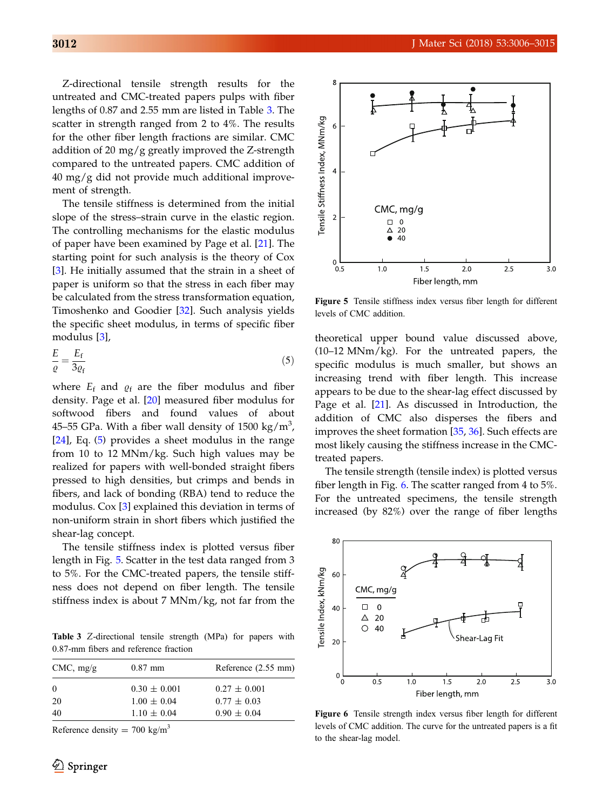<span id="page-6-0"></span>Z-directional tensile strength results for the untreated and CMC-treated papers pulps with fiber lengths of 0.87 and 2.55 mm are listed in Table 3. The scatter in strength ranged from 2 to 4%. The results for the other fiber length fractions are similar. CMC addition of 20 mg/g greatly improved the Z-strength compared to the untreated papers. CMC addition of 40 mg/g did not provide much additional improvement of strength.

The tensile stiffness is determined from the initial slope of the stress–strain curve in the elastic region. The controlling mechanisms for the elastic modulus of paper have been examined by Page et al. [\[21](#page-9-0)]. The starting point for such analysis is the theory of Cox [\[3](#page-8-0)]. He initially assumed that the strain in a sheet of paper is uniform so that the stress in each fiber may be calculated from the stress transformation equation, Timoshenko and Goodier [\[32](#page-9-0)]. Such analysis yields the specific sheet modulus, in terms of specific fiber modulus [\[3](#page-8-0)],

$$
\frac{E}{\varrho} = \frac{E_{\rm f}}{3\varrho_{\rm f}}\tag{5}
$$

where  $E_f$  and  $\varrho_f$  are the fiber modulus and fiber density. Page et al. [[20\]](#page-9-0) measured fiber modulus for softwood fibers and found values of about 45–55 GPa. With a fiber wall density of 1500 kg/m<sup>3</sup>, [\[24](#page-9-0)], Eq. (5) provides a sheet modulus in the range from 10 to 12 MNm/kg. Such high values may be realized for papers with well-bonded straight fibers pressed to high densities, but crimps and bends in fibers, and lack of bonding (RBA) tend to reduce the modulus. Cox [\[3](#page-8-0)] explained this deviation in terms of non-uniform strain in short fibers which justified the shear-lag concept.

The tensile stiffness index is plotted versus fiber length in Fig. 5. Scatter in the test data ranged from 3 to 5%. For the CMC-treated papers, the tensile stiffness does not depend on fiber length. The tensile stiffness index is about 7 MNm/kg, not far from the

Table 3 Z-directional tensile strength (MPa) for papers with 0.87-mm fibers and reference fraction

| $CMC$ , mg/g | $0.87$ mm        | Reference $(2.55 \text{ mm})$ |
|--------------|------------------|-------------------------------|
| $\theta$     | $0.30 \pm 0.001$ | $0.27 \pm 0.001$              |
| 20           | $1.00 \pm 0.04$  | $0.77 \pm 0.03$               |
| 40           | $1.10 \pm 0.04$  | $0.90 \pm 0.04$               |
|              |                  |                               |

Reference density =  $700 \text{ kg/m}^3$ 



Figure 5 Tensile stiffness index versus fiber length for different levels of CMC addition.

theoretical upper bound value discussed above, (10–12 MNm/kg). For the untreated papers, the specific modulus is much smaller, but shows an increasing trend with fiber length. This increase appears to be due to the shear-lag effect discussed by Page et al. [\[21](#page-9-0)]. As discussed in Introduction, the addition of CMC also disperses the fibers and improves the sheet formation [[35,](#page-9-0) [36\]](#page-9-0). Such effects are most likely causing the stiffness increase in the CMCtreated papers.

The tensile strength (tensile index) is plotted versus fiber length in Fig. 6. The scatter ranged from 4 to 5%. For the untreated specimens, the tensile strength increased (by 82%) over the range of fiber lengths



Figure 6 Tensile strength index versus fiber length for different levels of CMC addition. The curve for the untreated papers is a fit to the shear-lag model.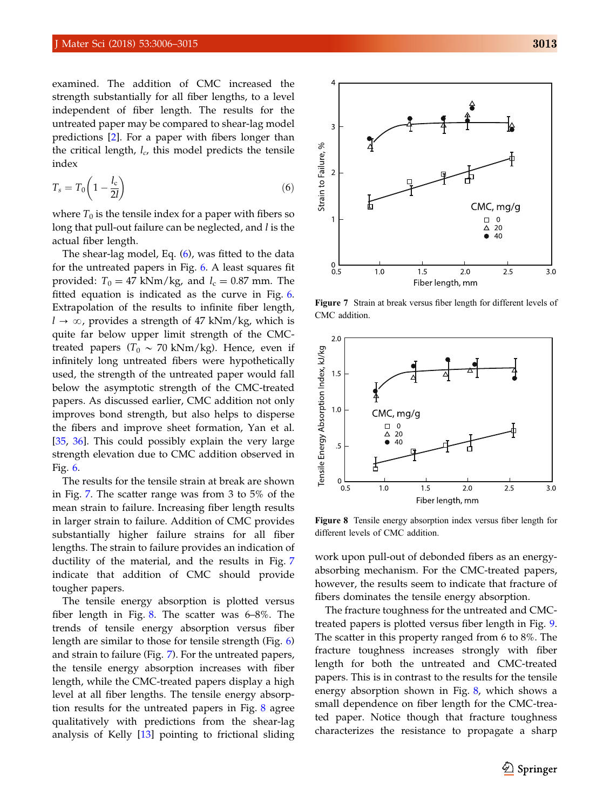examined. The addition of CMC increased the strength substantially for all fiber lengths, to a level independent of fiber length. The results for the untreated paper may be compared to shear-lag model predictions [[2](#page-8-0)]. For a paper with fibers longer than the critical length,  $l_c$ , this model predicts the tensile index

$$
T_s = T_0 \left( 1 - \frac{l_c}{2l} \right) \tag{6}
$$

where  $T_0$  is the tensile index for a paper with fibers so long that pull-out failure can be neglected, and l is the actual fiber length.

The shear-lag model, Eq. (6), was fitted to the data for the untreated papers in Fig. [6.](#page-6-0) A least squares fit provided:  $T_0 = 47$  kNm/kg, and  $l_c = 0.87$  mm. The fitted equation is indicated as the curve in Fig. [6](#page-6-0). Extrapolation of the results to infinite fiber length,  $l \rightarrow \infty$ , provides a strength of 47 kNm/kg, which is quite far below upper limit strength of the CMCtreated papers  $(T_0 \sim 70 \text{ kNm/kg})$ . Hence, even if infinitely long untreated fibers were hypothetically used, the strength of the untreated paper would fall below the asymptotic strength of the CMC-treated papers. As discussed earlier, CMC addition not only improves bond strength, but also helps to disperse the fibers and improve sheet formation, Yan et al. [\[35](#page-9-0), [36](#page-9-0)]. This could possibly explain the very large strength elevation due to CMC addition observed in Fig. [6.](#page-6-0)

The results for the tensile strain at break are shown in Fig. 7. The scatter range was from 3 to 5% of the mean strain to failure. Increasing fiber length results in larger strain to failure. Addition of CMC provides substantially higher failure strains for all fiber lengths. The strain to failure provides an indication of ductility of the material, and the results in Fig. 7 indicate that addition of CMC should provide tougher papers.

The tensile energy absorption is plotted versus fiber length in Fig. 8. The scatter was 6–8%. The trends of tensile energy absorption versus fiber length are similar to those for tensile strength (Fig. [6](#page-6-0)) and strain to failure (Fig. 7). For the untreated papers, the tensile energy absorption increases with fiber length, while the CMC-treated papers display a high level at all fiber lengths. The tensile energy absorption results for the untreated papers in Fig. 8 agree qualitatively with predictions from the shear-lag analysis of Kelly [\[13](#page-8-0)] pointing to frictional sliding



Figure 7 Strain at break versus fiber length for different levels of CMC addition.



Figure 8 Tensile energy absorption index versus fiber length for different levels of CMC addition.

work upon pull-out of debonded fibers as an energyabsorbing mechanism. For the CMC-treated papers, however, the results seem to indicate that fracture of fibers dominates the tensile energy absorption.

The fracture toughness for the untreated and CMCtreated papers is plotted versus fiber length in Fig. [9.](#page-8-0) The scatter in this property ranged from 6 to 8%. The fracture toughness increases strongly with fiber length for both the untreated and CMC-treated papers. This is in contrast to the results for the tensile energy absorption shown in Fig. 8, which shows a small dependence on fiber length for the CMC-treated paper. Notice though that fracture toughness characterizes the resistance to propagate a sharp

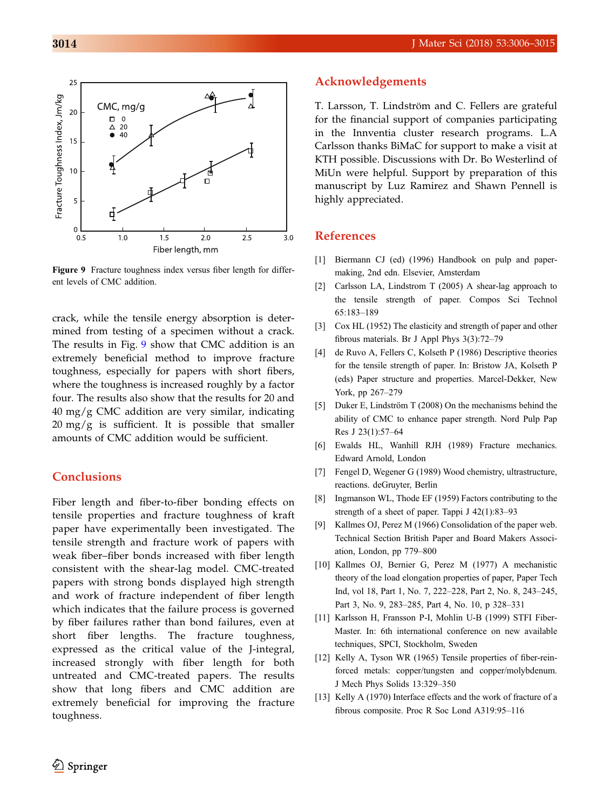<span id="page-8-0"></span>

Figure 9 Fracture toughness index versus fiber length for different levels of CMC addition.

crack, while the tensile energy absorption is determined from testing of a specimen without a crack. The results in Fig. 9 show that CMC addition is an extremely beneficial method to improve fracture toughness, especially for papers with short fibers, where the toughness is increased roughly by a factor four. The results also show that the results for 20 and 40 mg/g CMC addition are very similar, indicating  $20 \text{ mg/g}$  is sufficient. It is possible that smaller amounts of CMC addition would be sufficient.

# Conclusions

Fiber length and fiber-to-fiber bonding effects on tensile properties and fracture toughness of kraft paper have experimentally been investigated. The tensile strength and fracture work of papers with weak fiber–fiber bonds increased with fiber length consistent with the shear-lag model. CMC-treated papers with strong bonds displayed high strength and work of fracture independent of fiber length which indicates that the failure process is governed by fiber failures rather than bond failures, even at short fiber lengths. The fracture toughness, expressed as the critical value of the J-integral, increased strongly with fiber length for both untreated and CMC-treated papers. The results show that long fibers and CMC addition are extremely beneficial for improving the fracture toughness.

# Acknowledgements

T. Larsson, T. Lindström and C. Fellers are grateful for the financial support of companies participating in the Innventia cluster research programs. L.A Carlsson thanks BiMaC for support to make a visit at KTH possible. Discussions with Dr. Bo Westerlind of MiUn were helpful. Support by preparation of this manuscript by Luz Ramirez and Shawn Pennell is highly appreciated.

### References

- [1] Biermann CJ (ed) (1996) Handbook on pulp and papermaking, 2nd edn. Elsevier, Amsterdam
- [2] Carlsson LA, Lindstrom T (2005) A shear-lag approach to the tensile strength of paper. Compos Sci Technol 65:183–189
- [3] Cox HL (1952) The elasticity and strength of paper and other fibrous materials. Br J Appl Phys 3(3):72–79
- [4] de Ruvo A, Fellers C, Kolseth P (1986) Descriptive theories for the tensile strength of paper. In: Bristow JA, Kolseth P (eds) Paper structure and properties. Marcel-Dekker, New York, pp 267–279
- [5] Duker E, Lindström T (2008) On the mechanisms behind the ability of CMC to enhance paper strength. Nord Pulp Pap Res J 23(1):57–64
- [6] Ewalds HL, Wanhill RJH (1989) Fracture mechanics. Edward Arnold, London
- [7] Fengel D, Wegener G (1989) Wood chemistry, ultrastructure, reactions. deGruyter, Berlin
- [8] Ingmanson WL, Thode EF (1959) Factors contributing to the strength of a sheet of paper. Tappi J 42(1):83–93
- [9] Kallmes OJ, Perez M (1966) Consolidation of the paper web. Technical Section British Paper and Board Makers Association, London, pp 779–800
- [10] Kallmes OJ, Bernier G, Perez M (1977) A mechanistic theory of the load elongation properties of paper, Paper Tech Ind, vol 18, Part 1, No. 7, 222–228, Part 2, No. 8, 243–245, Part 3, No. 9, 283–285, Part 4, No. 10, p 328–331
- [11] Karlsson H, Fransson P-I, Mohlin U-B (1999) STFI Fiber-Master. In: 6th international conference on new available techniques, SPCI, Stockholm, Sweden
- [12] Kelly A, Tyson WR (1965) Tensile properties of fiber-reinforced metals: copper/tungsten and copper/molybdenum. J Mech Phys Solids 13:329–350
- [13] Kelly A (1970) Interface effects and the work of fracture of a fibrous composite. Proc R Soc Lond A319:95–116